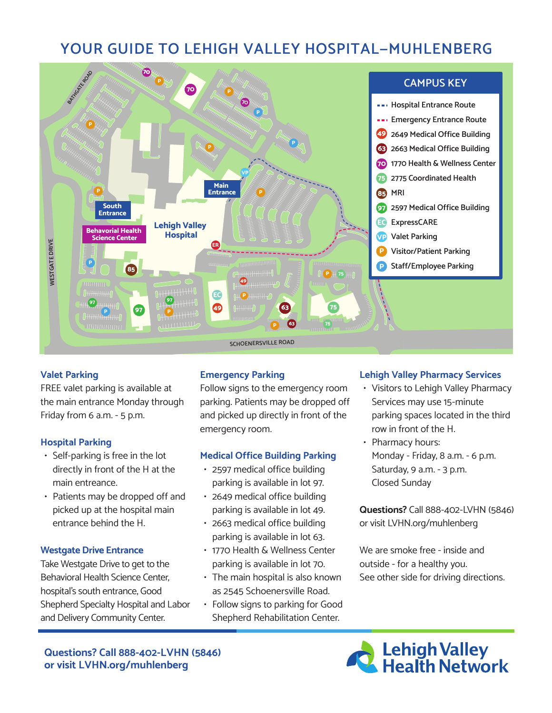# **YOUR GUIDE TO LEHIGH VALLEY HOSPITAL—MUHLENBERG**



# **Valet Parking**

FREE valet parking is available at the main entrance Monday through Friday from 6 a.m. - 5 p.m.

# **Hospital Parking**

- Self-parking is free in the lot directly in front of the H at the main entreance.
- Patients may be dropped off and picked up at the hospital main entrance behind the H.

#### **Westgate Drive Entrance**

Take Westgate Drive to get to the Behavioral Health Science Center, hospital's south entrance, Good Shepherd Specialty Hospital and Labor and Delivery Community Center.

# **Emergency Parking**

Follow signs to the emergency room parking. Patients may be dropped off and picked up directly in front of the emergency room.

#### **Medical Office Building Parking**

- 2597 medical office building parking is available in lot 97.
- 2649 medical office building parking is available in lot 49.
- 2663 medical office building parking is available in lot 63.
- 1770 Health & Wellness Center parking is available in lot 70.
- The main hospital is also known as 2545 Schoenersville Road.
- Follow signs to parking for Good Shepherd Rehabilitation Center.

#### **Lehigh Valley Pharmacy Services**

- Visitors to Lehigh Valley Pharmacy Services may use 15-minute parking spaces located in the third row in front of the H.
- Pharmacy hours: Monday - Friday, 8 a.m. - 6 p.m. Saturday, 9 a.m. - 3 p.m. Closed Sunday

**Questions?** Call 888-402-LVHN (5846) or visit LVHN.org/muhlenberg

We are smoke free - inside and outside - for a healthy you. See other side for driving directions.

**Questions? Call 888-402-LVHN (5846) or visit LVHN.org/muhlenberg**

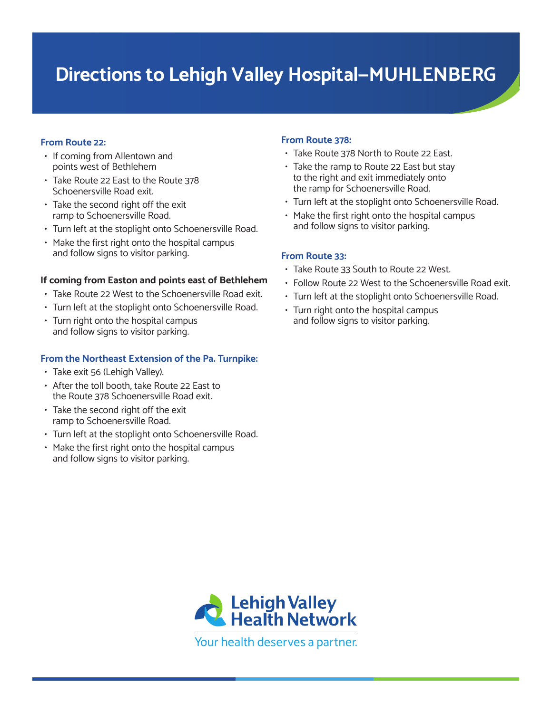# **Directions to Lehigh Valley Hospital—MUHLENBERG**

# **From Route 22:**

- If coming from Allentown and points west of Bethlehem
- Take Route 22 East to the Route 378 Schoenersville Road exit.
- Take the second right off the exit ramp to Schoenersville Road.
- Turn left at the stoplight onto Schoenersville Road.
- Make the first right onto the hospital campus and follow signs to visitor parking.

# **If coming from Easton and points east of Bethlehem**

- Take Route 22 West to the Schoenersville Road exit.
- Turn left at the stoplight onto Schoenersville Road.
- Turn right onto the hospital campus and follow signs to visitor parking.

# **From the Northeast Extension of the Pa. Turnpike:**

- Take exit 56 (Lehigh Valley).
- After the toll booth, take Route 22 East to the Route 378 Schoenersville Road exit.
- Take the second right off the exit ramp to Schoenersville Road.
- Turn left at the stoplight onto Schoenersville Road.
- Make the first right onto the hospital campus and follow signs to visitor parking.

# **From Route 378:**

- Take Route 378 North to Route 22 East.
- Take the ramp to Route 22 East but stay to the right and exit immediately onto the ramp for Schoenersville Road.
- Turn left at the stoplight onto Schoenersville Road.
- Make the first right onto the hospital campus and follow signs to visitor parking.

#### **From Route 33:**

- Take Route 33 South to Route 22 West.
- Follow Route 22 West to the Schoenersville Road exit.
- Turn left at the stoplight onto Schoenersville Road.
- Turn right onto the hospital campus and follow signs to visitor parking.

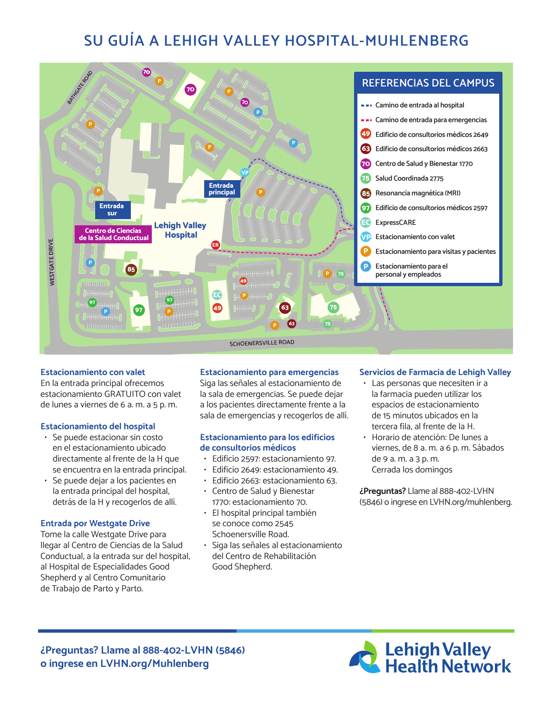# **SU GUÍA A LEHIGH VALLEY HOSPITAL-MUHLENBERG**



#### **Estacionamiento con valet**

En la entrada principal ofrecemos estacionamiento GRATUITO con valet de lunes a viernes de 6 a. m. a 5 p. m.

#### **Estacionamiento del hospital**

- Se puede estacionar sin costo en el estacionamiento ubicado directamente al frente de la H que se encuentra en la entrada principal.
- Se puede dejar a los pacientes en la entrada principal del hospital, detrás de la H y recogerlos de allí.

#### **Entrada por Westgate Drive**

Tome la calle Westgate Drive para llegar al Centro de Ciencias de la Salud Conductual, a la entrada sur del hospital, al Hospital de Especialidades Good Shepherd y al Centro Comunitario de Trabajo de Parto y Parto.

#### **Estacionamiento para emergencias**

Siga las señales al estacionamiento de la sala de emergencias. Se puede dejar a los pacientes directamente frente a la sala de emergencias y recogerlos de allí.

#### **Estacionamiento para los edificios de consultorios médicos**

- Edificio 2597: estacionamiento 97.
- Edificio 2649: estacionamiento 49.
- Edificio 2663: estacionamiento 63.
- Centro de Salud y Bienestar 1770: estacionamiento 70.
- El hospital principal también se conoce como 2545 Schoenersville Road.
- Siga las señales al estacionamiento del Centro de Rehabilitación Good Shepherd.

#### **Servicios de Farmacia de Lehigh Valley**

- Las personas que necesiten ir a la farmacia pueden utilizar los espacios de estacionamiento de 15 minutos ubicados en la tercera fila, al frente de la H.
- Horario de atención: De lunes a viernes, de 8 a. m. a 6 p. m. Sábados de 9 a. m. a 3 p. m. Cerrada los domingos

**¿Preguntas?** Llame al 888-402-LVHN (5846) o ingrese en LVHN.org/muhlenberg.

**¿Preguntas? Llame al 888-402-LVHN (5846) o ingrese en LVHN.org/Muhlenberg**